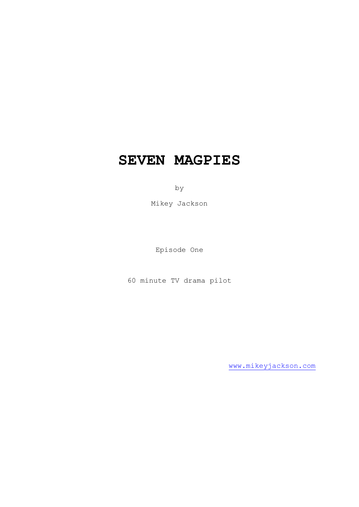# **SEVEN MAGPIES**

by

Mikey Jackson

Episode One

60 minute TV drama pilot

[www.mikeyjackson.com](http://www.mikeyjackson.com/)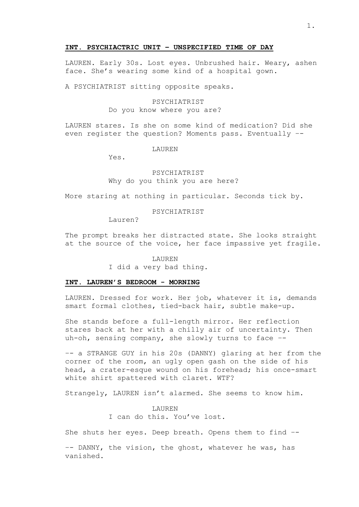## **INT. PSYCHIACTRIC UNIT – UNSPECIFIED TIME OF DAY**

LAUREN. Early 30s. Lost eyes. Unbrushed hair. Weary, ashen face. She's wearing some kind of a hospital gown.

A PSYCHIATRIST sitting opposite speaks.

# PSYCHIATRIST

Do you know where you are?

LAUREN stares. Is she on some kind of medication? Did she even register the question? Moments pass. Eventually –-

LAUREN

Yes.

# PSYCHIATRIST Why do you think you are here?

More staring at nothing in particular. Seconds tick by.

## PSYCHIATRIST

Lauren?

The prompt breaks her distracted state. She looks straight at the source of the voice, her face impassive yet fragile.

#### LAUREN

I did a very bad thing.

## **INT. LAUREN'S BEDROOM - MORNING**

LAUREN. Dressed for work. Her job, whatever it is, demands smart formal clothes, tied-back hair, subtle make-up.

She stands before a full-length mirror. Her reflection stares back at her with a chilly air of uncertainty. Then uh-oh, sensing company, she slowly turns to face –-

–- a STRANGE GUY in his 20s (DANNY) glaring at her from the corner of the room, an ugly open gash on the side of his head, a crater-esque wound on his forehead; his once-smart white shirt spattered with claret. WTF?

Strangely, LAUREN isn't alarmed. She seems to know him.

LAUREN I can do this. You've lost.

She shuts her eyes. Deep breath. Opens them to find –-

–- DANNY, the vision, the ghost, whatever he was, has vanished.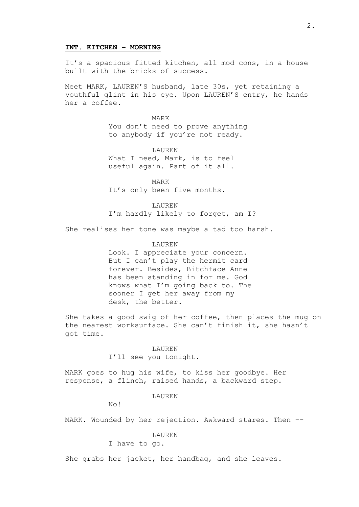## **INT. KITCHEN – MORNING**

It's a spacious fitted kitchen, all mod cons, in a house built with the bricks of success.

Meet MARK, LAUREN'S husband, late 30s, yet retaining a youthful glint in his eye. Upon LAUREN'S entry, he hands her a coffee.

> MARK You don't need to prove anything to anybody if you're not ready.

LAUREN What I need, Mark, is to feel useful again. Part of it all.

MARK It's only been five months.

LAUREN I'm hardly likely to forget, am I?

She realises her tone was maybe a tad too harsh.

## LAUREN

Look. I appreciate your concern. But I can't play the hermit card forever. Besides, Bitchface Anne has been standing in for me. God knows what I'm going back to. The sooner I get her away from my desk, the better.

She takes a good swig of her coffee, then places the mug on the nearest worksurface. She can't finish it, she hasn't got time.

### LAUREN

I'll see you tonight.

MARK goes to hug his wife, to kiss her goodbye. Her response, a flinch, raised hands, a backward step.

LAUREN

No!

MARK. Wounded by her rejection. Awkward stares. Then –-

# LAUREN

### I have to go.

She grabs her jacket, her handbag, and she leaves.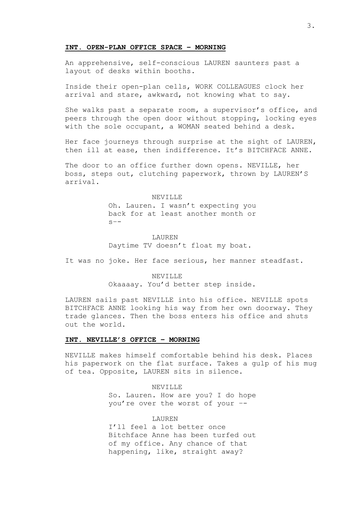## **INT. OPEN-PLAN OFFICE SPACE – MORNING**

An apprehensive, self-conscious LAUREN saunters past a layout of desks within booths.

Inside their open-plan cells, WORK COLLEAGUES clock her arrival and stare, awkward, not knowing what to say.

She walks past a separate room, a supervisor's office, and peers through the open door without stopping, locking eyes with the sole occupant, a WOMAN seated behind a desk.

Her face journeys through surprise at the sight of LAUREN, then ill at ease, then indifference. It's BITCHFACE ANNE.

The door to an office further down opens. NEVILLE, her boss, steps out, clutching paperwork, thrown by LAUREN'S arrival.

> NEVILLE Oh. Lauren. I wasn't expecting you back for at least another month or  $S$  – –

LAUREN Daytime TV doesn't float my boat.

It was no joke. Her face serious, her manner steadfast.

NEVILLE Okaaaay. You'd better step inside.

LAUREN sails past NEVILLE into his office. NEVILLE spots BITCHFACE ANNE looking his way from her own doorway. They trade glances. Then the boss enters his office and shuts out the world.

# **INT. NEVILLE'S OFFICE – MORNING**

NEVILLE makes himself comfortable behind his desk. Places his paperwork on the flat surface. Takes a gulp of his mug of tea. Opposite, LAUREN sits in silence.

> NEVILLE So. Lauren. How are you? I do hope you're over the worst of your –-

> LAUREN I'll feel a lot better once Bitchface Anne has been turfed out of my office. Any chance of that happening, like, straight away?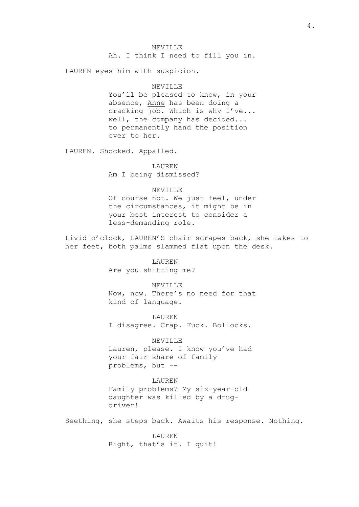Ah. I think I need to fill you in.

LAUREN eyes him with suspicion.

## NEVILLE

You'll be pleased to know, in your absence, Anne has been doing a cracking job. Which is why I've... well, the company has decided... to permanently hand the position over to her.

LAUREN. Shocked. Appalled.

LAUREN Am I being dismissed?

## NEVILLE

Of course not. We just feel, under the circumstances, it might be in your best interest to consider a less-demanding role.

Livid o'clock, LAUREN'S chair scrapes back, she takes to her feet, both palms slammed flat upon the desk.

> LAUREN Are you shitting me?

NEVILLE Now, now. There's no need for that kind of language.

LAUREN I disagree. Crap. Fuck. Bollocks.

## NEVILLE

Lauren, please. I know you've had your fair share of family problems, but –-

# LAUREN

Family problems? My six-year-old daughter was killed by a drugdriver!

Seething, she steps back. Awaits his response. Nothing.

LAUREN Right, that's it. I quit!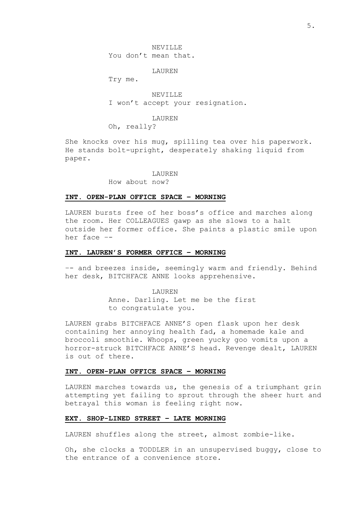NEVILLE You don't mean that.

LAUREN

Try me.

NEVILLE I won't accept your resignation.

LAUREN

Oh, really?

She knocks over his mug, spilling tea over his paperwork. He stands bolt-upright, desperately shaking liquid from paper.

### **LAUREN**

How about now?

# **INT. OPEN-PLAN OFFICE SPACE – MORNING**

LAUREN bursts free of her boss's office and marches along the room. Her COLLEAGUES gawp as she slows to a halt outside her former office. She paints a plastic smile upon her face –-

# **INT. LAUREN'S FORMER OFFICE – MORNING**

–- and breezes inside, seemingly warm and friendly. Behind her desk, BITCHFACE ANNE looks apprehensive.

LAUREN

Anne. Darling. Let me be the first to congratulate you.

LAUREN grabs BITCHFACE ANNE'S open flask upon her desk containing her annoying health fad, a homemade kale and broccoli smoothie. Whoops, green yucky goo vomits upon a horror-struck BITCHFACE ANNE'S head. Revenge dealt, LAUREN is out of there.

# **INT. OPEN-PLAN OFFICE SPACE – MORNING**

LAUREN marches towards us, the genesis of a triumphant grin attempting yet failing to sprout through the sheer hurt and betrayal this woman is feeling right now.

# **EXT. SHOP-LINED STREET – LATE MORNING**

LAUREN shuffles along the street, almost zombie-like.

Oh, she clocks a TODDLER in an unsupervised buggy, close to the entrance of a convenience store.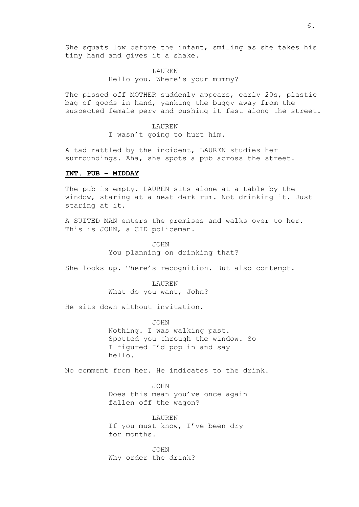She squats low before the infant, smiling as she takes his tiny hand and gives it a shake.

# LAUREN Hello you. Where's your mummy?

The pissed off MOTHER suddenly appears, early 20s, plastic bag of goods in hand, yanking the buggy away from the suspected female perv and pushing it fast along the street.

> LAUREN I wasn't going to hurt him.

A tad rattled by the incident, LAUREN studies her surroundings. Aha, she spots a pub across the street.

## **INT. PUB – MIDDAY**

The pub is empty. LAUREN sits alone at a table by the window, staring at a neat dark rum. Not drinking it. Just staring at it.

A SUITED MAN enters the premises and walks over to her. This is JOHN, a CID policeman.

> JOHN You planning on drinking that?

She looks up. There's recognition. But also contempt.

LAUREN What do you want, John?

He sits down without invitation.

JOHN Nothing. I was walking past. Spotted you through the window. So I figured I'd pop in and say hello.

No comment from her. He indicates to the drink.

JOHN Does this mean you've once again fallen off the wagon?

LAUREN If you must know, I've been dry for months.

JOHN Why order the drink?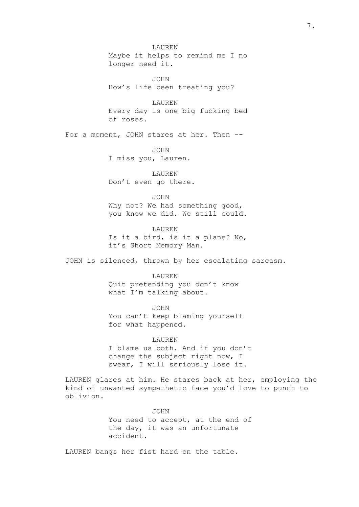LAUREN Maybe it helps to remind me I no longer need it.

JOHN How's life been treating you?

LAUREN Every day is one big fucking bed of roses.

For a moment, JOHN stares at her. Then --

JOHN I miss you, Lauren.

LAUREN Don't even go there.

JOHN

Why not? We had something good, you know we did. We still could.

LAUREN Is it a bird, is it a plane? No, it's Short Memory Man.

JOHN is silenced, thrown by her escalating sarcasm.

LAUREN Quit pretending you don't know what I'm talking about.

JOHN You can't keep blaming yourself for what happened.

## LAUREN

I blame us both. And if you don't change the subject right now, I swear, I will seriously lose it.

LAUREN glares at him. He stares back at her, employing the kind of unwanted sympathetic face you'd love to punch to oblivion.

JOHN

You need to accept, at the end of the day, it was an unfortunate accident.

LAUREN bangs her fist hard on the table.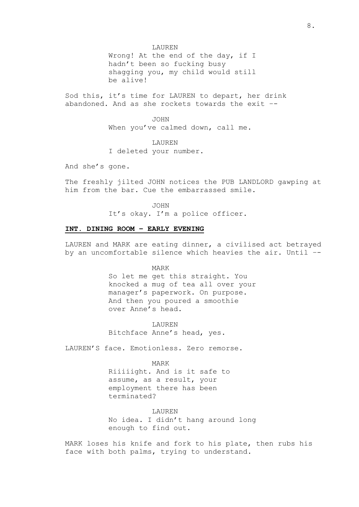LAUREN

Wrong! At the end of the day, if I hadn't been so fucking busy shagging you, my child would still be alive!

Sod this, it's time for LAUREN to depart, her drink abandoned. And as she rockets towards the exit –-

> JOHN When you've calmed down, call me.

LAUREN I deleted your number.

And she's gone.

The freshly jilted JOHN notices the PUB LANDLORD gawping at him from the bar. Cue the embarrassed smile.

> JOHN It's okay. I'm a police officer.

# **INT. DINING ROOM – EARLY EVENING**

LAUREN and MARK are eating dinner, a civilised act betrayed by an uncomfortable silence which heavies the air. Until –-

MARK

So let me get this straight. You knocked a mug of tea all over your manager's paperwork. On purpose. And then you poured a smoothie over Anne's head.

**LAUREN** Bitchface Anne's head, yes.

LAUREN'S face. Emotionless. Zero remorse.

MARK

Riiiiight. And is it safe to assume, as a result, your employment there has been terminated?

LAUREN

No idea. I didn't hang around long enough to find out.

MARK loses his knife and fork to his plate, then rubs his face with both palms, trying to understand.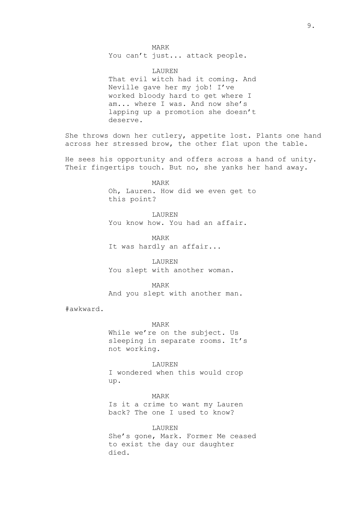You can't just... attack people.

LAUREN That evil witch had it coming. And Neville gave her my job! I've worked bloody hard to get where I am... where I was. And now she's lapping up a promotion she doesn't deserve.

She throws down her cutlery, appetite lost. Plants one hand across her stressed brow, the other flat upon the table.

He sees his opportunity and offers across a hand of unity. Their fingertips touch. But no, she yanks her hand away.

> MARK Oh, Lauren. How did we even get to this point?

LAUREN You know how. You had an affair.

MARK It was hardly an affair...

LAUREN You slept with another woman.

MARK And you slept with another man.

#awkward.

MARK

While we're on the subject. Us sleeping in separate rooms. It's not working.

LAUREN I wondered when this would crop up.

MARK Is it a crime to want my Lauren back? The one I used to know?

LAUREN She's gone, Mark. Former Me ceased to exist the day our daughter died.